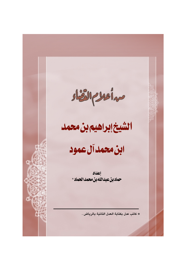مدأعلام القثاد

## الشيخ إبراهيم بن محمد

# ابن محمد آل عمود

إعلىاد حماد بن عبدالله بن محمد الحماد \*

\* كاتب عدل بكتابة العدل الثانية بالرياض .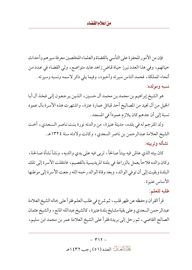فإن من الأمور المحفزة على التأسي بالقضاة والعلماء المخلصين معرفة سيرهم وأحداث حياتهم، وفي هذا العدد نبرز حياة قاض زاهد عابد متواضع، ولي القضاء في عدد من أنحاء المملكة، فحمد الناس سيرته وأحبوه، وفيما يلي ذكر لاسمه ونسبه وسيرته . نسبه ومولده:

هو الشيخ إبراهيم بن محمد بن محمد أل حسين، الذين يرجعون إلى فخذ أل أبا الخيل من أل نجيد من المصاليخ أحد قبائل عمارة عنزة، واشتهرت هذه الأسرة بأل عمود نسبة إلى أن جدهم كان يلازم عموداً في المسجد .

ولد المترجم له في بلده ، مدينة عنيزة، من والدته نورة بنت ناصر السعدي ، أخت الشيخ العلامة عبدالرحمن بن ناصر السعدي، وكانت ولادته سنة ١٣٢٤هـ. نشأته و تر سته:

كان بيته الذي عاش فيه بيتاً صالحاً، تربى فيه على يدي والديه، ونشأ نشأة صالحة، وكان والده فلاحاً يعمل بالزراعة في بلدة المريديسية بالقصيم، فانتقلت الأسرة إلى تلك البلدة وبقيت إلى أن توفي الوالد، وبعد وفاة الوالد رحمه الله رجعت الأسرة إلى موطنها الأساس عنيزة.

### طلبه للعلم:

قرأ القرآن وحفظه عن ظهر قلب ، ثم شرع في طلب العلم فقرأ على خاله الشيخ العلامة عبدالرحمن السعدي وعلى بقية مشايخ بلدة عنيزة، كالشيخ عبدالله المانع، والشيخ عثمان الصالح القاضي، ثم رحل إلى بريدة فقرأ على الشيخ العلامة عمر بن محمد ابن سليم،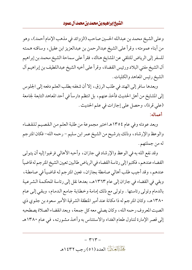#### الشيخ إبراهيم بن محمد بن محمد آل عمود

وعلى الشيخ محمد بن عبدالله الحسين صاحب (الزوائد في مذهب الإمام أحمد) ، وهو من أبناء عمومته، وقرأ على الشيخ عبدالرحمن بن عبدالعزيز ابن عقيل، وساقته هـمـته للسفر إلى الرياض للتلقي عن المشايخ هناك، فقرأ على سماحة الشيخ محمد بن إبراهيم أل الشيخ مفتى البلاد ورئيس القضاة، وقرأ على أخيه الشيخ عبداللطيف بن إبراهيم آل الشيخ رئيس المعاهد والكليات .

وبعدها سافر إلى الهند في طلب الرزق، إلا أن شغفه بطلب العلم دفعه إلى الجلوس إلى المشايخ من أهل الحديث فأخذ عنهم، بل انتظم دارساً في أحد المعاهد التابعة لجامعة (على قرة)، وحصل على إجازات في علم الحديث . أعماله:

وبعد عودته وفي عام ١٣٥٤هـ اختير مجموعة من طلبة العلم من القصيم للقضاء والوعظ والإرشاد، وذلك بترشيح من الشيخ عمر ابن سليم – رحمه الله– فكان المترجم له من جملتهم .

وقد نفع الله به في الوعظ والإرشاد في جازان، وأحبه الأهالي فرغبوا إليه أن يتولى القضاء عندهم، فكتبوا إلى رئاسة القضاء في الرياض طالبين تعيين الشيخ المترجم له قاضياً عندهم، وقد أجيب طلب أهالي صامطة بجازان، فعين المترجم له قاضياً في صامطة، وبقى في القضاء في جازان إلى عام ١٣٦٣هـ، بعدها نقل إلى رئاسة المحكمة الشرعية بالدمام وتولى رئاستها . وتولى مع ذلك إمامة وخطابة جامع الدمام، وبقى إلى عام ١٣٨٠هـ، وكان المترجم له ذا مكانة عند أمير المنطقة الشرقية الأمير سعود بن جلوى ذي الصيت المعروف رحمه الله، وكان يصلى معه كل جمعة، وبعد انقضاء الصلاة يصطحبه إلى قصر الإمارة لتناول طعام الغداء والاستئناس به وأخذ مشورته، في عام ١٣٨٠هـ

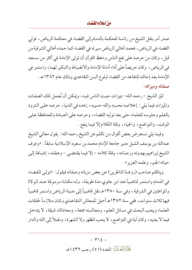#### من أعلام القضاء

صدر أمر بنقل الشيخ من رئاسة المحكمة بالدمام إلى القضاء في محكمة الرياض، فولي القضاء في الرياض ، فحمد أهالي الرياض سير ته في القضاء كما حمده أهالي الشرقية من قبل، وكان من حرصه على نفع الناس وحفظ القرآن أن تولى الإمامة في أكثر من مسجد في الرياض، وكان حريصاً على أداء أمانة الإمامة والانضباط والتبكير لهما، واستمر في الإمامة بعد إحالته للتقاعد من القضاء لبلوغ السن التقاعدي وذلك عام ١٣٨٢هـ. صفاته وميزاته:

تميّز الشيخ – رحمه الله– بميزات حببت الناس فيه ، ويمكن أن نُجمل تلك الصفات والميزات فيما يلي : إخلاصه نحسبه والله حسيبه، زهده في الدنيا، حرصه على التزود بالعلم وجلوسه للعلماء حتى بعد توليه القضاء، وحرصه على العبادة والمحافظة على الوقت، والتواضع، والحياء، وقلة الكلام إلا فيما ينفع .

وفيما يلي نستعرض بعض أقوال من تكلم عن الشيخ رحمه الله : يقول معالي الشيخ عبدالله بن يوسف الشبل مدير جامعة الإمام محمد بن سعود الإسلامية سابقاً : «وعرف الشيخ إبراهيم بهدوئه ورصانته، وقلة كلامه – إلا فيما يقتضي – وعقله، إضافة إلى حيائه الجم، وعلمه الغزير » .

ويتكلم صاحب (روضة الناظرين) عن بعض مزياته وصفاته فيقول: «تولى القضاء في الدمام واستمر قاضياً عند ابن جلوى مدة طويلة، وله مكانة مر موقة عند الولاة والمواطنين في الشرقية ، وفي سنة ١٣٨٠هـ نقل قاضياً إلى مدينة الرياض واستمر قاضياً فيها ثلاث سنوات، ففي سنة ١٣٨٢هـ أحيل للمعاش التقاعدي وكان ملازماً لحلقات العلماء ويحب البحث في مسائل العلم، ومجالسته ممتعة، ومحادثاته شيقة، لا يتدخل فيما لا يعنيه ، وكان أية في التواضع ، لا يحب المظهر ولا الشهرة ، ومقبلاً إلى الله والدار

> $\uparrow$   $\uparrow$   $\xi$  -كَجَلْبَزَالِكَيْبَالِ العدد (٥١) رجب ١٤٣٢هـ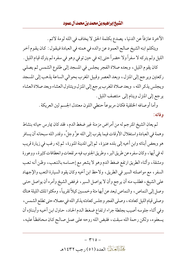الآخرة عازفاً عن الدنيا، يصدع بكلمة الحق لا يخاف في الله لومة لائم.

ويتكلم ابنه الشيخ صالح العمود عن والده في همته في العبادة فيقول : كان يقوم أخر الليل ولم يتركه لا سفراً ولا حضراً حتى إنه في حين توفي وهو في سفره لم يترك قيام الليل .

كان يقوم الليل، وبعده صلاة الفجر يجلس في المسجد إلى طلوع الشمس ثم يصلبي ركعتين ويرجع إلى المنزل ، وبعد العصر وقبيل المغرب بحوالي الساعة يذهب إلى المسجد ويجلس يذكر الله، وبعد صلاة المغرب يرجع إلى المنزل ويتناول العشاء وبعد صلاة العشاء يرجع إلى المنزل وينام إلى منتصف الليل .

> وأما أوصافه الخلقية فكان مربوعاً حنطى اللون معتدل الجسم لين العريكة . وفاته:

لم يعان الشيخ المترجم له من أمراض مزمنة غير ضغط الدم، فقد كان يمارس حياته بنشاط وهمة في العبادة واستغلال الأوقات فيما يقرب إلى الله عزَّ وجلَّ، وقدر الله سبحانه أن يسافر هو وبعض أبنائه وابن أخيه إلى بلده عنيزة، ثم إلى المدينة المنورة، ثم إنه رغب في زيارة قريب له في أبها، وكان سفره عن طريق البر ، وطريق الجنوب فيه مر تفعات وانعطافات كثيرة، ووعورة ومشقة، وأثناء الطريق ارتفع ضغط الدم وهو لا يشعر مع إحساسه بالتعب، وظن أنه تعب السفر ، مع مواصلته السير في الطريق ، ولاحظ ابن أخيه وكان يقود السيارة التعب والإجهاد على الشيخ، فطلب منه أن يرجع وأن لا يواصل السير ، فرفض الشيخ وأمره أن يواصل حتى وصل إلى النماص ، والنماص تبعد عن أبها مئة وخمسين كيلاً تقريباً ، ومكثوا تلك الليلة هناك وصلى قيام الليل كعادته ، وصلى الفجر وجلس كعادته يذكر الله في مصلاه حتى تطلع الشمس ، وفي أثناء جلوسه أصيب بجلطة جراء ارتفاع ضغط الدم الحاد، حاول ابن أخيه وأبناؤه أن يسعفوه، ولكن رحمة الله سبقت، فقبض الله روحه على عمل صالح كان محافظاً عليه،